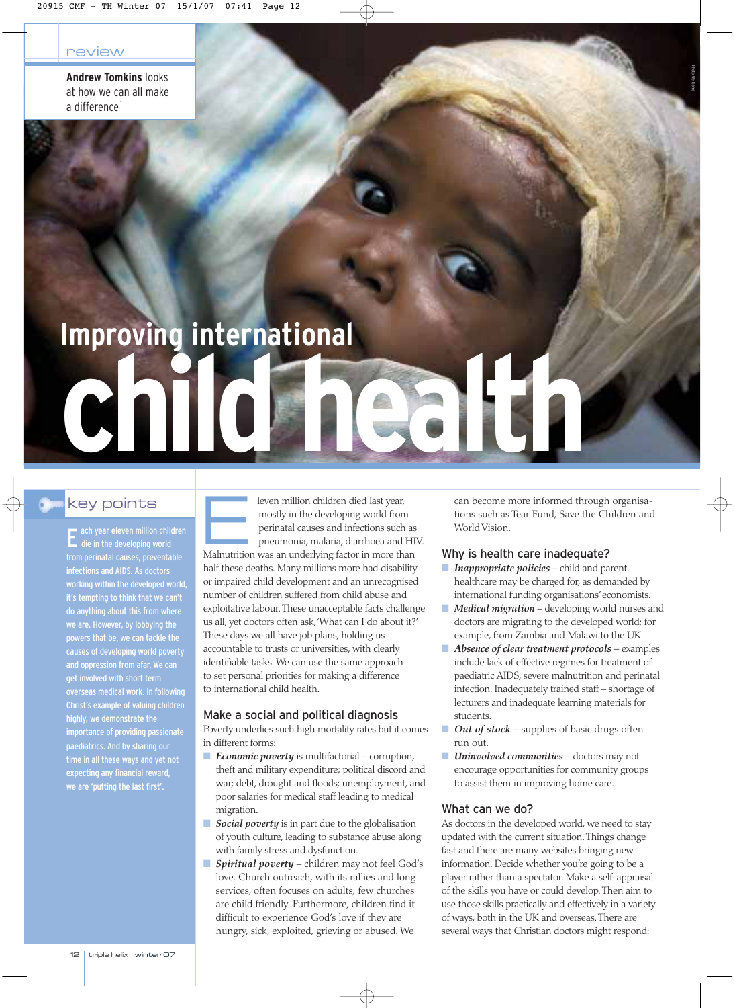**Andrew Tomkins** looks at how we can all make a difference<sup>1</sup>

# **Improving international**

## key points

**c**  $\prod$ 

die in the developing world infections and AIDS. As doctors working within the developed world, it's tempting to think that we can't do anything about this from where we are. However, by lobbying the powers that be, we can tackle the causes of developing world poverty and oppression from afar. We can get involved with short term overseas medical work. In following Christ's example of valuing children highly, we demonstrate the importance of providing passionate paediatrics. And by sharing our time in all these ways and yet not expecting any financial reward, we are 'putting the last first'.

Eleven million children died last year,<br>
mostly in the developing world from<br>
perinatal causes and infections such<br>
pneumonia, malaria, diarrhoea and<br>
Malputrition was an underlying factor in more the mostly in the developing world from perinatal causes and infections such as pneumonia, malaria, diarrhoea and HIV. Malnutrition was an underlying factor in more than half these deaths. Many millions more had disability or impaired child development and an unrecognised number of children suffered from child abuse and exploitative labour.These unacceptable facts challenge us all, yet doctors often ask,'What can I do about it?' These days we all have job plans, holding us accountable to trusts or universities, with clearly identifiable tasks. We can use the same approach to set personal priorities for making a difference to international child health.

#### Make a social and political diagnosis

Poverty underlies such high mortality rates but it comes in different forms:

- *Economic poverty* is multifactorial corruption, theft and military expenditure; political discord and war; debt, drought and floods; unemployment, and poor salaries for medical staff leading to medical migration.
- *Social poverty* is in part due to the globalisation of youth culture, leading to substance abuse along with family stress and dysfunction.
- *Spiritual poverty* children may not feel God's love. Church outreach, with its rallies and long services, often focuses on adults; few churches are child friendly. Furthermore, children find it difficult to experience God's love if they are hungry, sick, exploited, grieving or abused. We

can become more informed through organisations such as Tear Fund, Save the Children and World Vision.

Photo: Wellcome

#### Why is health care inadequate?

- *Inappropriate policies* child and parent healthcare may be charged for, as demanded by international funding organisations'economists.
- *Medical migration* developing world nurses and doctors are migrating to the developed world; for example, from Zambia and Malawi to the UK.
- Absence of clear treatment protocols examples include lack of effective regimes for treatment of paediatric AIDS, severe malnutrition and perinatal infection. Inadequately trained staff – shortage of lecturers and inadequate learning materials for students.
- *Out of stock* supplies of basic drugs often run out.
- *Uninvolved communities* doctors may not encourage opportunities for community groups to assist them in improving home care.

#### What can we do?

As doctors in the developed world, we need to stay updated with the current situation.Things change fast and there are many websites bringing new information. Decide whether you're going to be a player rather than a spectator. Make a self-appraisal of the skills you have or could develop.Then aim to use those skills practically and effectively in a variety of ways, both in the UK and overseas.There are several ways that Christian doctors might respond: